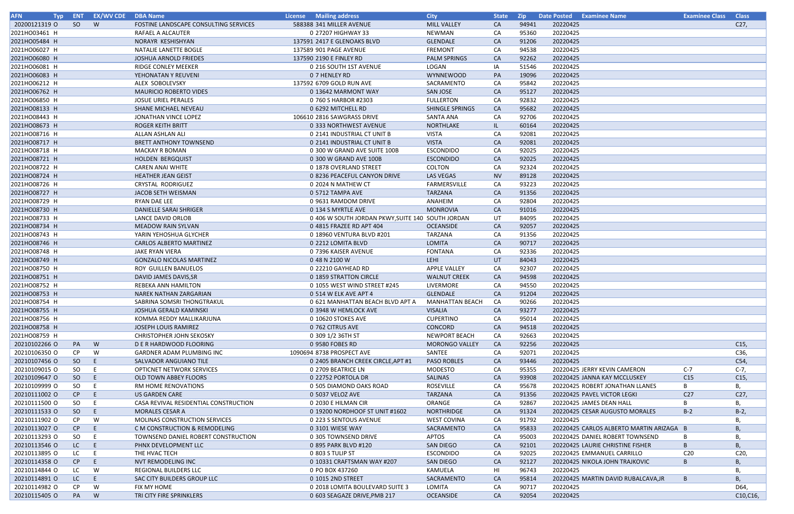| <b>AFN</b><br><b>Typ</b> |     | <b>ENT EX/WV CDE</b> | <b>DBA Name</b>                       | License Mailing address                           | <b>City</b>            | <b>State</b> | <b>Zip</b> | Date Posted Examinee Name                | <b>Examinee Class</b> | <b>Class</b>    |
|--------------------------|-----|----------------------|---------------------------------------|---------------------------------------------------|------------------------|--------------|------------|------------------------------------------|-----------------------|-----------------|
| 20200121319 O            | SO  | <b>W</b>             | FOSTINE LANDSCAPE CONSULTING SERVICES | 588388 341 MILLER AVENUE                          | <b>MILL VALLEY</b>     | CA           | 94941      | 20220425                                 |                       | C27,            |
| 2021HO03461 H            |     |                      | RAFAEL A ALCAUTER                     | 0 27207 HIGHWAY 33                                | NEWMAN                 | CA           | 95360      | 20220425                                 |                       |                 |
| 2021HO05484 H            |     |                      | NORAYR KESHISHYAN                     | 137591 2417 E GLENOAKS BLVD                       | GLENDALE               | CA           | 91206      | 20220425                                 |                       |                 |
| 2021HO06027 H            |     |                      | NATALIE LANETTE BOGLE                 | 137589 901 PAGE AVENUE                            | <b>FREMONT</b>         | CA           | 94538      | 20220425                                 |                       |                 |
| 2021HO06080 H            |     |                      | JOSHUA ARNOLD FRIEDES                 | 137590 2190 E FINLEY RD                           | <b>PALM SPRINGS</b>    | CA           | 92262      | 20220425                                 |                       |                 |
| 2021HO06081 H            |     |                      | RIDGE CONLEY MEEKER                   | 0 216 SOUTH 1ST AVENUE                            | LOGAN                  | IA           | 51546      | 20220425                                 |                       |                 |
| 2021HO06083 H            |     |                      | YEHONATAN Y REUVENI                   | 0 7 HENLEY RD                                     | <b>WYNNEWOOD</b>       | PA           | 19096      | 20220425                                 |                       |                 |
| 2021HO06212 H            |     |                      | ALEX SOBOLEVSKY                       | 137592 6709 GOLD RUN AVE                          | SACRAMENTO             | CA           | 95842      | 20220425                                 |                       |                 |
| 2021HO06762 H            |     |                      | <b>MAURICIO ROBERTO VIDES</b>         | 0 13642 MARMONT WAY                               | SAN JOSE               | CA           | 95127      | 20220425                                 |                       |                 |
| 2021HO06850 H            |     |                      | <b>JOSUE URIEL PERALES</b>            | 0 760 S HARBOR #2303                              | <b>FULLERTON</b>       | CA           | 92832      | 20220425                                 |                       |                 |
| 2021HO08133 H            |     |                      | SHANE MICHAEL NEVEAU                  | 0 6292 MITCHELL RD                                | SHINGLE SPRINGS        | CA           | 95682      | 20220425                                 |                       |                 |
| 2021HO08443 H            |     |                      | JONATHAN VINCE LOPEZ                  | 106610 2816 SAWGRASS DRIVE                        | SANTA ANA              | CA           | 92706      | 20220425                                 |                       |                 |
| 2021HO08673 H            |     |                      | <b>ROGER KEITH BRITT</b>              | 0 333 NORTHWEST AVENUE                            | <b>NORTHLAKE</b>       | IL           | 60164      | 20220425                                 |                       |                 |
| 2021HO08716 H            |     |                      | ALLAN ASHLAN ALI                      | 0 2141 INDUSTRIAL CT UNIT B                       | <b>VISTA</b>           | CA           | 92081      | 20220425                                 |                       |                 |
| 2021HO08717 H            |     |                      | <b>BRETT ANTHONY TOWNSEND</b>         | 0 2141 INDUSTRIAL CT UNIT B                       | <b>VISTA</b>           | CA           | 92081      | 20220425                                 |                       |                 |
| 2021HO08718 H            |     |                      | <b>MACKAY R BOMAN</b>                 | 0 300 W GRAND AVE SUITE 100B                      | <b>ESCONDIDO</b>       | CA           | 92025      | 20220425                                 |                       |                 |
| 2021HO08721 H            |     |                      | <b>HOLDEN BERGQUIST</b>               | 0 300 W GRAND AVE 100B                            | <b>ESCONDIDO</b>       | CA           | 92025      | 20220425                                 |                       |                 |
| 2021HO08722 H            |     |                      | <b>CAREN ANAI WHITE</b>               | 0 1878 OVERLAND STREET                            | <b>COLTON</b>          | CA           | 92324      | 20220425                                 |                       |                 |
| 2021HO08724 H            |     |                      | <b>HEATHER JEAN GEIST</b>             | 0 8236 PEACEFUL CANYON DRIVE                      | LAS VEGAS              | <b>NV</b>    | 89128      | 20220425                                 |                       |                 |
| 2021HO08726 H            |     |                      | CRYSTAL RODRIGUEZ                     | 0 2024 N MATHEW CT                                | FARMERSVILLE           | CA           | 93223      | 20220425                                 |                       |                 |
| 2021HO08727 H            |     |                      | JACOB SETH WEISMAN                    | 0 5712 TAMPA AVE                                  | <b>TARZANA</b>         | CA           | 91356      | 20220425                                 |                       |                 |
| 2021HO08729 H            |     |                      | RYAN DAE LEE                          | 0 9631 RAMDOM DRIVE                               | ANAHEIM                | CA           | 92804      | 20220425                                 |                       |                 |
| 2021HO08730 H            |     |                      | DANIELLE SARAI SHRIGER                | 0 134 S MYRTLE AVE                                | <b>MONROVIA</b>        | CA           | 91016      | 20220425                                 |                       |                 |
| 2021HO08733 H            |     |                      | LANCE DAVID ORLOB                     | 0 406 W SOUTH JORDAN PKWY, SUITE 140 SOUTH JORDAN |                        | UT           | 84095      | 20220425                                 |                       |                 |
| 2021HO08734 H            |     |                      | <b>MEADOW RAIN SYLVAN</b>             | 0 4815 FRAZEE RD APT 404                          | <b>OCEANSIDE</b>       | CA           | 92057      | 20220425                                 |                       |                 |
| 2021HO08743 H            |     |                      | YARIN YEHOSHUA GLYCHER                | 0 18960 VENTURA BLVD #201                         | <b>TARZANA</b>         | CA           | 91356      | 20220425                                 |                       |                 |
| 2021HO08746 H            |     |                      | <b>CARLOS ALBERTO MARTINEZ</b>        | 0 2212 LOMITA BLVD                                | LOMITA                 | CA           | 90717      | 20220425                                 |                       |                 |
| 2021HO08748 H            |     |                      | JAKE RYAN VIERA                       | 0 7396 KAISER AVENUE                              | <b>FONTANA</b>         | CA           | 92336      | 20220425                                 |                       |                 |
| 2021HO08749 H            |     |                      | <b>GONZALO NICOLAS MARTINEZ</b>       | 0 48 N 2100 W                                     | LEHI                   | UT           | 84043      | 20220425                                 |                       |                 |
| 2021HO08750 H            |     |                      | ROY GUILLEN BANUELOS                  | 0 22210 GAYHEAD RD                                | <b>APPLE VALLEY</b>    | CA           | 92307      | 20220425                                 |                       |                 |
| 2021HO08751 H            |     |                      | DAVID JAMES DAVIS, SR                 | 0 1859 STRATTON CIRCLE                            | <b>WALNUT CREEK</b>    | CA           | 94598      | 20220425                                 |                       |                 |
| 2021HO08752 H            |     |                      | REBEKA ANN HAMILTON                   | 0 1055 WEST WIND STREET #245                      | LIVERMORE              | CA           | 94550      | 20220425                                 |                       |                 |
| 2021HO08753 H            |     |                      | NAREK NATHAN ZARGARIAN                | 0 514 W ELK AVE APT 4                             | GLENDALE               | <b>CA</b>    | 91204      | 20220425                                 |                       |                 |
| 2021HO08754 H            |     |                      | SABRINA SOMSRI THONGTRAKUL            | 0 621 MANHATTAN BEACH BLVD APT A                  | <b>MANHATTAN BEACH</b> | CA           | 90266      | 20220425                                 |                       |                 |
| 2021HO08755 H            |     |                      | JOSHUA GERALD KAMINSKI                | 0 3948 W HEMLOCK AVE                              | <b>VISALIA</b>         | CA           | 93277      | 20220425                                 |                       |                 |
| 2021HO08756 H            |     |                      | KOMMA REDDY MALLIKARJUNA              | 0 10620 STOKES AVE                                | <b>CUPERTINO</b>       | CA           | 95014      | 20220425                                 |                       |                 |
| 2021HO08758 H            |     |                      | JOSEPH LOUIS RAMIREZ                  | 0 762 CITRUS AVE                                  | CONCORD                | CA           | 94518      | 20220425                                 |                       |                 |
| 2021HO08759 H            |     |                      | <b>CHRISTOPHER JOHN SEKOSKY</b>       | 0 309 1/2 36TH ST                                 | <b>NEWPORT BEACH</b>   | CA           | 92663      | 20220425                                 |                       |                 |
| 20210102266 O            | PA  | W                    | D E R HARDWOOD FLOORING               | 0 9580 FOBES RD                                   | <b>MORONGO VALLEY</b>  | CA           | 92256      | 20220425                                 |                       | C <sub>15</sub> |
| 20210106350 O            | CP  | W                    | <b>GARDNER ADAM PLUMBING INC</b>      | 1090694 8738 PROSPECT AVE                         | SANTEE                 | CA           | 92071      | 20220425                                 |                       | C36,            |
| 20210107456 O            | SO  | -E                   | SALVADOR ANGUIANO TILE                | 0 2405 BRANCH CREEK CIRCLE, APT #1                | <b>PASO ROBLES</b>     | CA           | 93446      | 20220425                                 |                       | C54,            |
| 20210109015 O            | SO. | E                    | <b>OPTICNET NETWORK SERVICES</b>      | 0 2709 BEATRICE LN                                | <b>MODESTO</b>         | CA           | 95355      | 20220425 JERRY KEVIN CAMERON             | $C-7$                 | $C-7$ ,         |
| 20210109647 O            | SO  |                      | OLD TOWN ABBEY FLOORS                 | 0 22752 PORTOLA DR                                | SALINAS                | CA           | 93908      | 20220425 JANNA KAY MCCLUSKEY             | C15                   | C15,            |
| 20210109999 O            | SO. | - E                  | RM HOME RENOVATIONS                   | 0 505 DIAMOND OAKS ROAD                           | ROSEVILLE              | CA           | 95678      | 20220425 ROBERT JONATHAN LLANES          |                       | В,              |
| 20210111002 0            | CP  | - E                  | US GARDEN CARE                        | 0 5037 VELOZ AVE                                  | <b>TARZANA</b>         | CA           | 91356      | 20220425 PAVEL VICTOR LEGKI              | C <sub>27</sub>       | C27,            |
| 20210111500 O            | SO  | - E                  | CASA REVIVAL RESIDENTIAL CONSTRUCTION | 0 2030 E HILMAN CIR                               | ORANGE                 | CA           | 92867      | 20220425 JAMES DEAN HALL                 | B                     | В,              |
| 20210111533 O            | SO  | -E                   | <b>MORALES CESAR A</b>                | 0 19200 NORDHOOF ST UNIT #1602                    | NORTHRIDGE             | CA           | 91324      | 20220425 CESAR AUGUSTO MORALES           | $B-2$                 | $B-2$ ,         |
| 20210111902 O            | CP. | W                    | <b>MOLINAS CONSTRUCTION SERVICES</b>  | 0 223 S SENTOUS AVENUE                            | <b>WEST COVINA</b>     | CA           | 91792      | 20220425                                 |                       | B.              |
| 20210113027 O            | CP  | E                    | C M CONSTRUCTION & REMODELING         | 0 3101 WIESE WAY                                  | SACRAMENTO             | CA           | 95833      | 20220425 CARLOS ALBERTO MARTIN ARIZAGA B |                       | $\mathbf{B}$    |
| 20210113293 O            | SO. |                      | TOWNSEND DANIEL ROBERT CONSTRUCTION   | 0 305 TOWNSEND DRIVE                              | APTOS                  | CA           | 95003      | 20220425 DANIEL ROBERT TOWNSEND          |                       | B.              |
| 20210113546 O            | LC. | - E                  | PHNX DEVELOPMENT LLC                  | 0 895 PARK BLVD #120                              | <b>SAN DIEGO</b>       | CA           | 92101      | 20220425 LAURIE CHRISTINE FISHER         |                       | Β,              |
| 20210113895 O            | LC  | - E                  | THE HVAC TECH                         | 0 803 S TULIP ST                                  | <b>ESCONDIDO</b>       | CA           | 92025      | 20220425 EMMANUEL CARRILLO               | C <sub>20</sub>       | C20,            |
| 20210114358 O            | CP  | -E                   | NVT REMODELING INC                    | 0 10331 CRAFTSMAN WAY #207                        | <b>SAN DIEGO</b>       | CA           | 92127      | 20220425 NIKOLA JOHN TRAJKOVIC           | B                     | В,              |
| 20210114844 O            | LC. | W                    | <b>REGIONAL BUILDERS LLC</b>          | 0 PO BOX 437260                                   | KAMUELA                | HI           | 96743      | 20220425                                 |                       | В,              |
| 20210114891 0            | LC. | -E.                  | SAC CITY BUILDERS GROUP LLC           | 0 1015 2ND STREET                                 | SACRAMENTO             | CA           | 95814      | 20220425 MARTIN DAVID RUBALCAVA, JR      | B                     | B,              |
| 20210114982 O            | CP. | W                    | FIX MY HOME                           | 0 2018 LOMITA BOULEVARD SUITE 3                   | LOMITA                 | CA           | 90717      | 20220425                                 |                       | D64,            |
| 20210115405 O            | PA  | W                    | TRI CITY FIRE SPRINKLERS              | 0 603 SEAGAZE DRIVE, PMB 217                      | <b>OCEANSIDE</b>       | CA           | 92054      | 20220425                                 |                       | C10, C16,       |

| <b>Examinee Name</b>             | <b>Examinee Class</b> | <b>Class</b>    |
|----------------------------------|-----------------------|-----------------|
|                                  |                       | C27,            |
|                                  |                       |                 |
|                                  |                       |                 |
|                                  |                       |                 |
|                                  |                       |                 |
|                                  |                       |                 |
|                                  |                       |                 |
|                                  |                       |                 |
|                                  |                       |                 |
|                                  |                       |                 |
|                                  |                       |                 |
|                                  |                       |                 |
|                                  |                       |                 |
|                                  |                       |                 |
|                                  |                       |                 |
|                                  |                       |                 |
|                                  |                       |                 |
|                                  |                       |                 |
|                                  |                       |                 |
|                                  |                       |                 |
|                                  |                       |                 |
|                                  |                       |                 |
|                                  |                       |                 |
|                                  |                       |                 |
|                                  |                       |                 |
|                                  |                       |                 |
|                                  |                       |                 |
|                                  |                       |                 |
|                                  |                       |                 |
|                                  |                       |                 |
|                                  |                       |                 |
|                                  |                       |                 |
|                                  |                       |                 |
|                                  |                       |                 |
|                                  |                       |                 |
|                                  |                       |                 |
|                                  |                       |                 |
|                                  |                       |                 |
|                                  |                       |                 |
|                                  |                       | C15,            |
|                                  |                       | C36,            |
|                                  |                       | C54,            |
| <b>ERRY KEVIN CAMERON</b>        | $C-7$                 | $C-7,$          |
| <b>ANNA KAY MCCLUSKEY</b>        | C15                   | C15,            |
| ROBERT JONATHAN LLANES           | В                     | В,              |
| <b>PAVEL VICTOR LEGKI</b>        | C <sub>27</sub>       | C27,            |
| <b>AMES DEAN HALL</b>            | В                     | В,              |
| CESAR AUGUSTO MORALES            | $B-2$                 | $B-2$           |
|                                  |                       | В,              |
| CARLOS ALBERTO MARTIN ARIZAGA    | B                     | <b>B</b> ,      |
| DANIEL ROBERT TOWNSEND           | В                     | В,              |
| <b>AURIE CHRISTINE FISHER</b>    | B                     | В,              |
| <b>EMMANUEL CARRILLO</b>         | C <sub>20</sub>       | C <sub>20</sub> |
| <b>NIKOLA JOHN TRAJKOVIC</b>     | B                     | В,              |
|                                  |                       | В,              |
| <b>MARTIN DAVID RUBALCAVA,JR</b> | B                     | В,              |
|                                  |                       | D64,            |
|                                  |                       | C10, C16,       |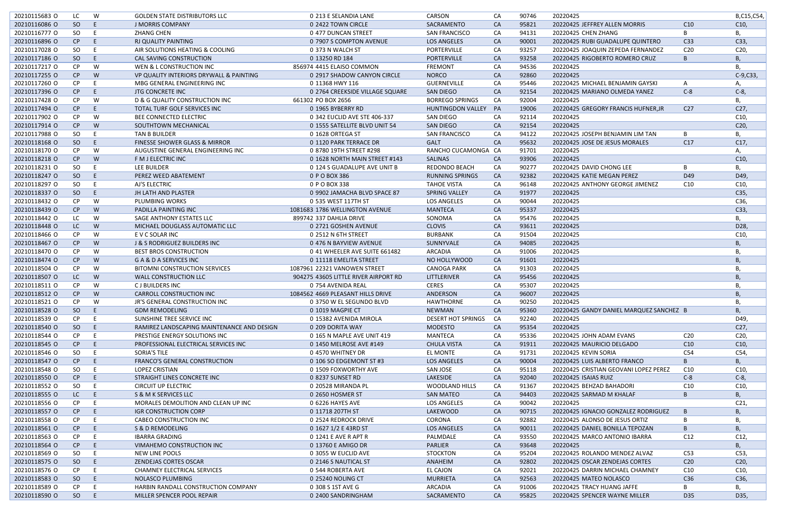| 20210115683 O | LC            | W  | <b>GOLDEN STATE DISTRIBUTORS LLC</b>       | 0 213 E SELANDIA LANE                | CARSON                    | CA        | 90746 | 20220425                                |                 | B,C15,C54,      |
|---------------|---------------|----|--------------------------------------------|--------------------------------------|---------------------------|-----------|-------|-----------------------------------------|-----------------|-----------------|
| 20210116086 O |               |    |                                            |                                      |                           |           | 95821 |                                         |                 |                 |
|               | <b>SO</b>     |    | J MORRIS COMPANY                           | 0 2422 TOWN CIRCLE                   | SACRAMENTO                | <b>CA</b> |       | 20220425 JEFFREY ALLEN MORRIS           | C10             | C10,            |
| 20210116777 O | SO.           |    | ZHANG CHEN                                 | 0 477 DUNCAN STREET                  | <b>SAN FRANCISCO</b>      | CA        | 94131 | 20220425 CHEN ZHANG                     |                 | В,              |
| 20210116896 O | CP            |    | RJ QUALITY PAINTING                        | 0 7907 S COMPTON AVENUE              | <b>LOS ANGELES</b>        | CA        | 90001 | 20220425 RUBI GUADALUPE QUINTERO        | C <sub>33</sub> | C33,            |
| 20210117028 O | <sub>SO</sub> |    | AIR SOLUTIONS HEATING & COOLING            | 0 373 N WALCH ST                     | PORTERVILLE               | CA        | 93257 | 20220425 JOAQUIN ZEPEDA FERNANDEZ       | C <sub>20</sub> | C20,            |
| 20210117186 O | SO            | E  | CAL SAVING CONSTRUCTION                    | 0 13250 RD 184                       | PORTERVILLE               | <b>CA</b> | 93258 | 20220425 RIGOBERTO ROMERO CRUZ          | B               | В,              |
| 20210117217 O | <b>CP</b>     | W  | WEN & L CONSTRUCTION INC                   | 856974 4415 ELAISO COMMON            | <b>FREMONT</b>            | CA        | 94536 | 20220425                                |                 | В,              |
| 20210117255 O | CP            | W  | VP QUALITY INTERIORS DRYWALL & PAINTING    | 0 2917 SHADOW CANYON CIRCLE          | <b>NORCO</b>              | <b>CA</b> | 92860 | 20220425                                |                 | $C-9, C33,$     |
| 20210117260 O | <b>CP</b>     |    | MBG GENERAL ENGINEERING INC                | 0 11368 HWY 116                      | <b>GUERNEVILLE</b>        | CA        | 95446 | 20220425 MICHAEL BENJAMIN GAYSKI        | A               | Α,              |
| 20210117396 O | CP            | E  | JTG CONCRETE INC                           | 0 2764 CREEKSIDE VILLAGE SQUARE      | <b>SAN DIEGO</b>          | CA        | 92154 | 20220425 MARIANO OLMEDA YANEZ           | $C-8$           | $C-8$ ,         |
| 20210117428 O | <b>CP</b>     | W  | D & G QUALITY CONSTRUCTION INC             | 661302 PO BOX 2656                   | <b>BORREGO SPRINGS</b>    | CA        | 92004 | 20220425                                |                 | В,              |
| 20210117494 O | CP            |    | TOTAL TURF GOLF SERVICES INC               | 0 1965 BYBERRY RD                    | HUNTINGDON VALLEY         | <b>PA</b> | 19006 | 20220425 GREGORY FRANCIS HUFNER, JR     | C <sub>27</sub> | C27,            |
| 20210117902 O | <b>CP</b>     | W  | BEE CONNECTED ELECTRIC                     | 0 342 EUCLID AVE STE 406-337         | SAN DIEGO                 | CA        | 92114 | 20220425                                |                 | C10,            |
| 20210117914 O | CP            | W  | SOUTHTOWN MECHANICAL                       | 0 1555 SATELLITE BLVD UNIT 54        | <b>SAN DIEGO</b>          | <b>CA</b> | 92154 | 20220425                                |                 | C <sub>20</sub> |
| 20210117988 O | <b>SO</b>     |    | TAN B BUILDER                              | 0 1628 ORTEGA ST                     | <b>SAN FRANCISCO</b>      | CA        | 94122 | 20220425 JOSEPH BENJAMIN LIM TAN        | B               | В,              |
| 20210118168 O | <b>SO</b>     | E  | FINESSE SHOWER GLASS & MIRROR              | 0 1120 PARK TERRACE DR               | <b>GALT</b>               | <b>CA</b> | 95632 | 20220425 JOSE DE JESUS MORALES          | C17             | C17,            |
| 20210118170 O | <b>CP</b>     | W  | AUGUSTINE GENERAL ENGINEERING INC          | 0 8780 19TH STREET #298              | RANCHO CUCAMONGA CA       |           | 91701 | 20220425                                |                 |                 |
| 20210118218 O |               |    |                                            |                                      |                           |           |       |                                         |                 | А,              |
|               | CP            | W  | F M J ELECTRIC INC                         | 0 1628 NORTH MAIN STREET #143        | <b>SALINAS</b>            | <b>CA</b> | 93906 | 20220425                                |                 | C10             |
| 20210118231 O | SO.           | -F | LEE BUILDER                                | 0 124 S GUADALUPE AVE UNIT B         | REDONDO BEACH             | CA        | 90277 | 20220425 DAVID CHONG LEE                | B.              | Β,              |
| 20210118247 O | SO            |    | PEREZ WEED ABATEMENT                       | 0 P O BOX 386                        | <b>RUNNING SPRINGS</b>    | <b>CA</b> | 92382 | 20220425 KATIE MEGAN PEREZ              | D49             | D49,            |
| 20210118297 O | SO.           |    | AJ'S ELECTRIC                              | 0 P O BOX 338                        | <b>TAHOE VISTA</b>        | CA        | 96148 | 20220425 ANTHONY GEORGE JIMENEZ         | C <sub>10</sub> | C10,            |
| 20210118337 O | SO            | -E | JH LATH AND PLASTER                        | 0 9902 JAMACHA BLVD SPACE 87         | <b>SPRING VALLEY</b>      | CA        | 91977 | 20220425                                |                 | C35,            |
| 20210118432 O | CP            | W  | <b>PLUMBING WORKS</b>                      | 0 535 WEST 117TH ST                  | <b>LOS ANGELES</b>        | CA        | 90044 | 20220425                                |                 | C36,            |
| 20210118439 O | CP            | W  | PADILLA PAINTING INC                       | 1081683 1786 WELLINGTON AVENUE       | <b>MANTECA</b>            | <b>CA</b> | 95337 | 20220425                                |                 | C33,            |
| 20210118442 O | LC            | W  | SAGE ANTHONY ESTATES LLC                   | 899742 337 DAHLIA DRIVE              | SONOMA                    | CA        | 95476 | 20220425                                |                 | Β,              |
| 20210118448 O | LC            | W  | MICHAEL DOUGLASS AUTOMATIC LLC             | 0 2721 GOSHEN AVENUE                 | <b>CLOVIS</b>             | CA        | 93611 | 20220425                                |                 | D28,            |
| 20210118466 O | <b>CP</b>     | W  | E V C SOLAR INC                            | 0 2512 N 6TH STREET                  | <b>BURBANK</b>            | CA        | 91504 | 20220425                                |                 | C10,            |
| 20210118467 O | CP            | W  | J & S RODRIGUEZ BUILDERS INC               | 0 476 N BAYVIEW AVENUE               | SUNNYVALE                 | <b>CA</b> | 94085 | 20220425                                |                 | В,              |
| 20210118470 O | <b>CP</b>     | W  | <b>BEST BROS CONSTRUCTION</b>              | 0 41 WHEELER AVE SUITE 661482        | <b>ARCADIA</b>            | CA        | 91006 | 20220425                                |                 | В,              |
| 20210118474 O | CP            | W  | G A & D A SERVICES INC                     | 0 11118 EMELITA STREET               | NO HOLLYWOOD              | CA        | 91601 | 20220425                                |                 | Β,              |
| 20210118504 O | <b>CP</b>     | W  | <b>BITOMNI CONSTRUCTION SERVICES</b>       | 1087961 22321 VANOWEN STREET         | <b>CANOGA PARK</b>        | CA        | 91303 | 20220425                                |                 | В.              |
| 20210118507 O | LC            |    | WALL CONSTRUCTION LLC                      | 904275 43605 LITTLE RIVER AIRPORT RD | LITTLERIVER               |           | 95456 | 20220425                                |                 |                 |
|               |               | W  |                                            |                                      |                           | CA        |       |                                         |                 | Β,              |
| 20210118511 0 | <b>CP</b>     | W  | <b>CJ BUILDERS INC</b>                     | 0 754 AVENIDA REAL                   | <b>CERES</b>              | CA        | 95307 | 20220425                                |                 | В,              |
| 20210118512 0 | CP            | W  | CARROLL CONSTRUCTION INC                   | 1084562 4669 PLEASANT HILLS DRIVE    | ANDERSON                  | CA        | 96007 | 20220425                                |                 | В,              |
| 20210118521 O | <b>CP</b>     | W  | JR'S GENERAL CONSTRUCTION INC              | 0 3750 W EL SEGUNDO BLVD             | <b>HAWTHORNE</b>          | CA        | 90250 | 20220425                                |                 | В,              |
| 20210118528 O | <sub>SO</sub> | E  | <b>GDM REMODELING</b>                      | 0 1019 MAGPIE CT                     | <b>NEWMAN</b>             | <b>CA</b> | 95360 | 20220425 GANDY DANIEL MARQUEZ SANCHEZ B |                 | Β,              |
| 20210118539 O | CP            |    | SUNSHINE TREE SERVICE INC                  | 0 15382 AVENIDA MIROLA               | <b>DESERT HOT SPRINGS</b> | CA        | 92240 | 20220425                                |                 | D49,            |
| 20210118540 O | SO            |    | RAMIREZ LANDSCAPING MAINTENANCE AND DESIGN | 0 209 DORITA WAY                     | <b>MODESTO</b>            | CA        | 95354 | 20220425                                |                 | C27,            |
| 20210118544 O | CP            |    | PRESTIGE ENERGY SOLUTIONS INC              | 0 165 N MAPLE AVE UNIT 419           | MANTECA                   | CA        | 95336 | 20220425 JOHN ADAM EVANS                | C <sub>20</sub> | C20,            |
| 20210118545 O | CP            |    | PROFESSIONAL ELECTRICAL SERVICES INC       | 0 1450 MELROSE AVE #149              | <b>CHULA VISTA</b>        | CA        | 91911 | 20220425 MAURICIO DELGADO               | C10             | C10,            |
| 20210118546 O | SO.           |    | <b>SORIA'S TILE</b>                        | 0 4570 WHITNEY DR                    | EL MONTE                  | CA        | 91731 | 20220425 KEVIN SORIA                    | C54             | C54,            |
| 20210118547 O | <b>CP</b>     |    | FRANCO'S GENERAL CONSTRUCTION              | 0 106 SO EDGEMONT ST #3              | <b>LOS ANGELES</b>        | CA        | 90004 | 20220425 LUIS ALBERTO FRANCO            |                 | В,              |
| 20210118548 O | SO            |    | <b>LOPEZ CRISTIAN</b>                      | 0 1509 FOXWORTHY AVE                 | SAN JOSE                  | CA        | 95118 | 20220425 CRISTIAN GEOVANI LOPEZ PEREZ   | C10             | C10,            |
| 20210118550 O | CP            |    | STRAIGHT LINES CONCRETE INC                | 0 8237 SUNSET RD                     | LAKESIDE                  | CA        | 92040 | 20220425 ISAIAS RUIZ                    | $C-8$           | $C-8$ ,         |
| 20210118552 O | SO            |    | <b>CIRCUIT UP ELECTRIC</b>                 | 0 20528 MIRANDA PL                   | <b>WOODLAND HILLS</b>     | CA        | 91367 | 20220425 BEHZAD BAHADORI                | C <sub>10</sub> | C10,            |
| 20210118555 O | LC            |    | S & M K SERVICES LLC                       | 0 2650 HOSMER ST                     | <b>SAN MATEO</b>          | CA        | 94403 | 20220425 SARMAD M KHALAF                | B               | B,              |
| 20210118556 O | <b>CP</b>     |    | MORALES DEMOLITION AND CLEAN UP INC        | 0 6226 HAYES AVE                     | <b>LOS ANGELES</b>        | CA        | 90042 | 20220425                                |                 | C <sub>21</sub> |
|               |               |    |                                            | 0 11718 207TH ST                     | LAKEWOOD                  |           | 90715 | 20220425 IGNACIO GONZALEZ RODRIGUEZ     | B               |                 |
| 20210118557 O | <b>CP</b>     |    | <b>IGR CONSTRUCTION CORP</b>               |                                      |                           | CA        |       |                                         |                 | В,              |
| 20210118558 O | CP.           |    | <b>CABEO CONSTRUCTION INC</b>              | 0 2524 REDROCK DRIVE                 | CORONA                    | CA        | 92882 | 20220425 ALONSO DE JESUS ORTIZ          | B               | Β,              |
| 20210118561 O | CP            |    | S & D REMODELING                           | 0 1627 1/2 E 43RD ST                 | <b>LOS ANGELES</b>        | CA        | 90011 | 20220425 DANIEL BONILLA TEPOZAN         | B               | В,              |
| 20210118563 O | CP            |    | <b>IBARRA GRADING</b>                      | 0 1241 E AVE R APT R                 | PALMDALE                  | CA        | 93550 | 20220425 MARCO ANTONIO IBARRA           | C12             | C12,            |
| 20210118564 O | CP            |    | VIMAHEMO CONSTRUCTION INC                  | 0 13760 E AMIGO DR                   | <b>PARLIER</b>            | CA        | 93648 | 20220425                                |                 | В,              |
| 20210118569 O | SO.           |    | <b>NEW LINE POOLS</b>                      | 0 3055 W EUCLID AVE                  | <b>STOCKTON</b>           | CA        | 95204 | 20220425 ROLANDO MENDEZ ALVAZ           | C53             | C53,            |
| 20210118575 O | SO            |    | ZENDEJAS CORTES OSCAR                      | 0 2146 S NAUTICAL ST                 | ANAHEIM                   | CA        | 92802 | 20220425 OSCAR ZENDEJAS CORTES          | C <sub>20</sub> | C20,            |
| 20210118576 O | CP            |    | CHAMNEY ELECTRICAL SERVICES                | 0 544 ROBERTA AVE                    | EL CAJON                  | CA        | 92021 | 20220425 DARRIN MICHAEL CHAMNEY         | C10             | C10,            |
| 20210118583 O | SO            | -E | NOLASCO PLUMBING                           | 0 25240 NOLING CT                    | <b>MURRIETA</b>           | CA        | 92563 | 20220425 MATEO NOLASCO                  | C36             | C36,            |
| 20210118589 O | CP            |    | HARBIN RANDALL CONSTRUCTION COMPANY        | 0 308 S 1ST AVE G                    | <b>ARCADIA</b>            | CA        | 91006 | 20220425 TRACY HUANG JAFFE              | B               | В,              |
| 20210118590 O | SO            |    | MILLER SPENCER POOL REPAIR                 | 0 2400 SANDRINGHAM                   | SACRAMENTO                | CA        | 95825 | 20220425 SPENCER WAYNE MILLER           | D35             | D35,            |